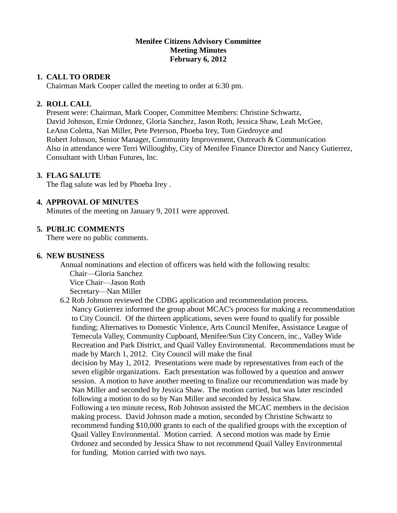# **Menifee Citizens Advisory Committee Meeting Minutes February 6, 2012**

## **1. CALL TO ORDER**

Chairman Mark Cooper called the meeting to order at 6:30 pm.

### **2. ROLL CALL**

 Present were: Chairman, Mark Cooper, Committee Members: Christine Schwartz, David Johnson, Ernie Ordonez, Gloria Sanchez, Jason Roth, Jessica Shaw, Leah McGee, LeAnn Coletta, Nan Miller, Pete Peterson, Phoeba Irey, Tom Giedroyce and Robert Johnson, Senior Manager, Community Improvement, Outreach & Communication Also in attendance were Terri Willoughby, City of Menifee Finance Director and Nancy Gutierrez, Consultant with Urban Futures, Inc.

## **3. FLAG SALUTE**

The flag salute was led by Phoeba Irey.

## **4. APPROVAL OF MINUTES**

Minutes of the meeting on January 9, 2011 were approved.

### **5. PUBLIC COMMENTS**

There were no public comments.

### **6. NEW BUSINESS**

Annual nominations and election of officers was held with the following results: Chair—Gloria Sanchez

Vice Chair—Jason Roth

Secretary—Nan Miller

6.2 Rob Johnson reviewed the CDBG application and recommendation process.

Nancy Gutierrez informed the group about MCAC's process for making a recommendation to City Council. Of the thirteen applications, seven were found to qualify for possible funding; Alternatives to Domestic Violence, Arts Council Menifee, Assistance League of Temecula Valley, Community Cupboard, Menifee/Sun City Concern, inc., Valley Wide Recreation and Park District, and Quail Valley Environmental. Recommendations must be made by March 1, 2012. City Council will make the final

decision by May 1, 2012. Presentations were made by representatives from each of the seven eligible organizations. Each presentation was followed by a question and answer session. A motion to have another meeting to finalize our recommendation was made by Nan Miller and seconded by Jessica Shaw. The motion carried, but was later rescinded following a motion to do so by Nan Miller and seconded by Jessica Shaw.

Following a ten minute recess, Rob Johnson assisted the MCAC members in the decision making process. David Johnson made a motion, seconded by Christine Schwartz to recommend funding \$10,000 grants to each of the qualified groups with the exception of Quail Valley Environmental. Motion carried. A second motion was made by Ernie Ordonez and seconded by Jessica Shaw to not recommend Quail Valley Environmental for funding. Motion carried with two nays.